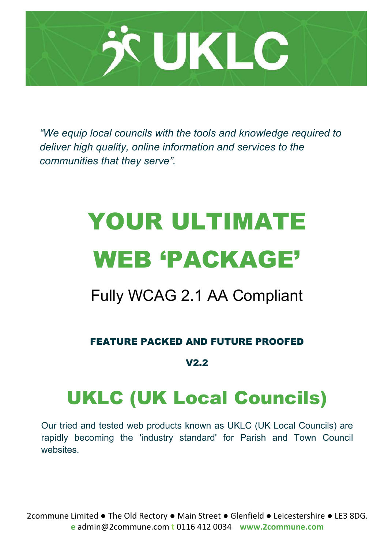

*"We equip local councils with the tools and knowledge required to deliver high quality, online information and services to the communities that they serve".*

# YOUR ULTIMATE WEB 'PACKAGE'

## Fully WCAG 2.1 AA Compliant

FEATURE PACKED AND FUTURE PROOFED

### V2.2

## UKLC (UK Local Councils)

Our tried and tested web products known as UKLC (UK Local Councils) are rapidly becoming the 'industry standard' for Parish and Town Council websites.

2commune Limited ● The Old Rectory ● Main Street ● Glenfield ● Leicestershire ● LE3 8DG. **e** admin@2commune.com **t** 0116 412 0034 **www.2commune.com**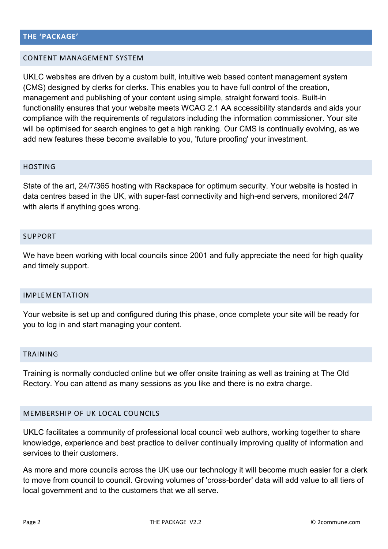#### CONTENT MANAGEMENT SYSTEM

UKLC websites are driven by a custom built, intuitive web based content management system (CMS) designed by clerks for clerks. This enables you to have full control of the creation, management and publishing of your content using simple, straight forward tools. Built-in functionality ensures that your website meets WCAG 2.1 AA accessibility standards and aids your compliance with the requirements of regulators including the information commissioner. Your site will be optimised for search engines to get a high ranking. Our CMS is continually evolving, as we add new features these become available to you, 'future proofing' your investment.

#### HOSTING

State of the art, 24/7/365 hosting with Rackspace for optimum security. Your website is hosted in data centres based in the UK, with super-fast connectivity and high-end servers, monitored 24/7 with alerts if anything goes wrong.

#### SUPPORT

We have been working with local councils since 2001 and fully appreciate the need for high quality and timely support.

#### IMPLEMENTATION

Your website is set up and configured during this phase, once complete your site will be ready for you to log in and start managing your content.

#### TRAINING

Training is normally conducted online but we offer onsite training as well as training at The Old Rectory. You can attend as many sessions as you like and there is no extra charge.

#### MEMBERSHIP OF UK LOCAL COUNCILS

UKLC facilitates a community of professional local council web authors, working together to share knowledge, experience and best practice to deliver continually improving quality of information and services to their customers.

As more and more councils across the UK use our technology it will become much easier for a clerk to move from council to council. Growing volumes of 'cross-border' data will add value to all tiers of local government and to the customers that we all serve.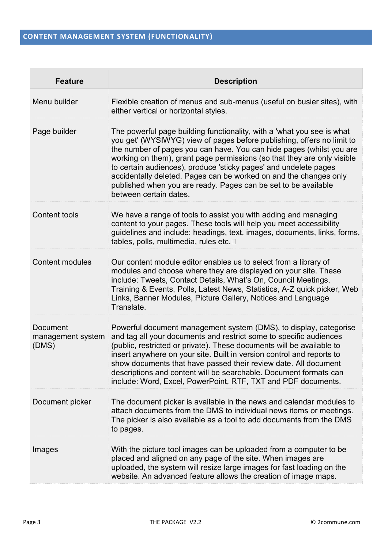| <b>Feature</b>                         | <b>Description</b>                                                                                                                                                                                                                                                                                                                                                                                                                                                                                                                       |
|----------------------------------------|------------------------------------------------------------------------------------------------------------------------------------------------------------------------------------------------------------------------------------------------------------------------------------------------------------------------------------------------------------------------------------------------------------------------------------------------------------------------------------------------------------------------------------------|
| Menu builder                           | Flexible creation of menus and sub-menus (useful on busier sites), with<br>either vertical or horizontal styles.                                                                                                                                                                                                                                                                                                                                                                                                                         |
| Page builder                           | The powerful page building functionality, with a 'what you see is what<br>you get' (WYSIWYG) view of pages before publishing, offers no limit to<br>the number of pages you can have. You can hide pages (whilst you are<br>working on them), grant page permissions (so that they are only visible<br>to certain audiences), produce 'sticky pages' and undelete pages<br>accidentally deleted. Pages can be worked on and the changes only<br>published when you are ready. Pages can be set to be available<br>between certain dates. |
| Content tools                          | We have a range of tools to assist you with adding and managing<br>content to your pages. These tools will help you meet accessibility<br>guidelines and include: headings, text, images, documents, links, forms,<br>tables, polls, multimedia, rules etc                                                                                                                                                                                                                                                                               |
| <b>Content modules</b>                 | Our content module editor enables us to select from a library of<br>modules and choose where they are displayed on your site. These<br>include: Tweets, Contact Details, What's On, Council Meetings,<br>Training & Events, Polls, Latest News, Statistics, A-Z quick picker, Web<br>Links, Banner Modules, Picture Gallery, Notices and Language<br>Translate.                                                                                                                                                                          |
| Document<br>management system<br>(DMS) | Powerful document management system (DMS), to display, categorise<br>and tag all your documents and restrict some to specific audiences<br>(public, restricted or private). These documents will be available to<br>insert anywhere on your site. Built in version control and reports to<br>show documents that have passed their review date. All document<br>descriptions and content will be searchable. Document formats can<br>include: Word, Excel, PowerPoint, RTF, TXT and PDF documents.                                       |
| Document picker                        | The document picker is available in the news and calendar modules to<br>attach documents from the DMS to individual news items or meetings.<br>The picker is also available as a tool to add documents from the DMS<br>to pages.                                                                                                                                                                                                                                                                                                         |
| Images                                 | With the picture tool images can be uploaded from a computer to be<br>placed and aligned on any page of the site. When images are<br>uploaded, the system will resize large images for fast loading on the<br>website. An advanced feature allows the creation of image maps.                                                                                                                                                                                                                                                            |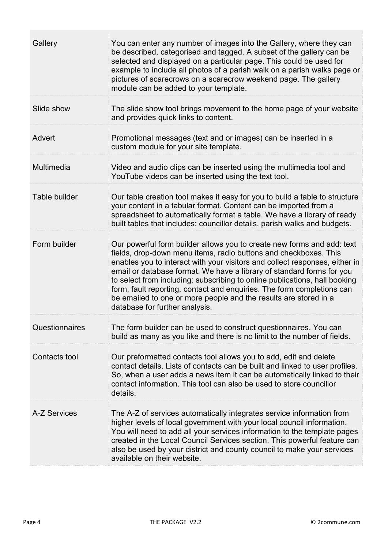| Gallery        | You can enter any number of images into the Gallery, where they can<br>be described, categorised and tagged. A subset of the gallery can be<br>selected and displayed on a particular page. This could be used for<br>example to include all photos of a parish walk on a parish walks page or<br>pictures of scarecrows on a scarecrow weekend page. The gallery<br>module can be added to your template.                                                                                                                                                       |
|----------------|------------------------------------------------------------------------------------------------------------------------------------------------------------------------------------------------------------------------------------------------------------------------------------------------------------------------------------------------------------------------------------------------------------------------------------------------------------------------------------------------------------------------------------------------------------------|
| Slide show     | The slide show tool brings movement to the home page of your website<br>and provides quick links to content.                                                                                                                                                                                                                                                                                                                                                                                                                                                     |
| Advert         | Promotional messages (text and or images) can be inserted in a<br>custom module for your site template.                                                                                                                                                                                                                                                                                                                                                                                                                                                          |
| Multimedia     | Video and audio clips can be inserted using the multimedia tool and<br>YouTube videos can be inserted using the text tool.                                                                                                                                                                                                                                                                                                                                                                                                                                       |
| Table builder  | Our table creation tool makes it easy for you to build a table to structure<br>your content in a tabular format. Content can be imported from a<br>spreadsheet to automatically format a table. We have a library of ready<br>built tables that includes: councillor details, parish walks and budgets.                                                                                                                                                                                                                                                          |
| Form builder   | Our powerful form builder allows you to create new forms and add: text<br>fields, drop-down menu items, radio buttons and checkboxes. This<br>enables you to interact with your visitors and collect responses, either in<br>email or database format. We have a library of standard forms for you<br>to select from including: subscribing to online publications, hall booking<br>form, fault reporting, contact and enquiries. The form completions can<br>be emailed to one or more people and the results are stored in a<br>database for further analysis. |
| Questionnaires | The form builder can be used to construct questionnaires. You can<br>build as many as you like and there is no limit to the number of fields.                                                                                                                                                                                                                                                                                                                                                                                                                    |
| Contacts tool  | Our preformatted contacts tool allows you to add, edit and delete<br>contact details. Lists of contacts can be built and linked to user profiles.<br>So, when a user adds a news item it can be automatically linked to their<br>contact information. This tool can also be used to store councillor<br>details.                                                                                                                                                                                                                                                 |
| A-Z Services   | The A-Z of services automatically integrates service information from<br>higher levels of local government with your local council information.<br>You will need to add all your services information to the template pages<br>created in the Local Council Services section. This powerful feature can<br>also be used by your district and county council to make your services<br>available on their website.                                                                                                                                                 |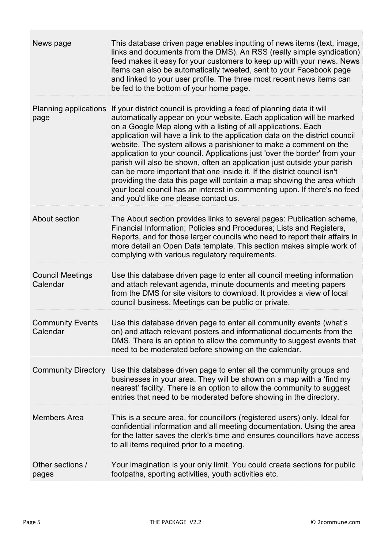| News page                           | This database driven page enables inputting of news items (text, image,<br>links and documents from the DMS). An RSS (really simple syndication)<br>feed makes it easy for your customers to keep up with your news. News<br>items can also be automatically tweeted, sent to your Facebook page<br>and linked to your user profile. The three most recent news items can<br>be fed to the bottom of your home page.                                                                                                                                                                                                                                                                                                                                                                                       |
|-------------------------------------|------------------------------------------------------------------------------------------------------------------------------------------------------------------------------------------------------------------------------------------------------------------------------------------------------------------------------------------------------------------------------------------------------------------------------------------------------------------------------------------------------------------------------------------------------------------------------------------------------------------------------------------------------------------------------------------------------------------------------------------------------------------------------------------------------------|
| Planning applications<br>page       | If your district council is providing a feed of planning data it will<br>automatically appear on your website. Each application will be marked<br>on a Google Map along with a listing of all applications. Each<br>application will have a link to the application data on the district council<br>website. The system allows a parishioner to make a comment on the<br>application to your council. Applications just 'over the border' from your<br>parish will also be shown, often an application just outside your parish<br>can be more important that one inside it. If the district council isn't<br>providing the data this page will contain a map showing the area which<br>your local council has an interest in commenting upon. If there's no feed<br>and you'd like one please contact us. |
| About section                       | The About section provides links to several pages: Publication scheme,<br>Financial Information; Policies and Procedures; Lists and Registers,<br>Reports, and for those larger councils who need to report their affairs in<br>more detail an Open Data template. This section makes simple work of<br>complying with various regulatory requirements.                                                                                                                                                                                                                                                                                                                                                                                                                                                    |
| <b>Council Meetings</b><br>Calendar | Use this database driven page to enter all council meeting information<br>and attach relevant agenda, minute documents and meeting papers<br>from the DMS for site visitors to download. It provides a view of local<br>council business. Meetings can be public or private.                                                                                                                                                                                                                                                                                                                                                                                                                                                                                                                               |
| <b>Community Events</b><br>Calendar | Use this database driven page to enter all community events (what's<br>on) and attach relevant posters and informational documents from the<br>DMS. There is an option to allow the community to suggest events that<br>need to be moderated before showing on the calendar.                                                                                                                                                                                                                                                                                                                                                                                                                                                                                                                               |
| <b>Community Directory</b>          | Use this database driven page to enter all the community groups and<br>businesses in your area. They will be shown on a map with a 'find my<br>nearest' facility. There is an option to allow the community to suggest<br>entries that need to be moderated before showing in the directory.                                                                                                                                                                                                                                                                                                                                                                                                                                                                                                               |
| <b>Members Area</b>                 | This is a secure area, for councillors (registered users) only. Ideal for<br>confidential information and all meeting documentation. Using the area<br>for the latter saves the clerk's time and ensures councillors have access<br>to all items required prior to a meeting.                                                                                                                                                                                                                                                                                                                                                                                                                                                                                                                              |
| Other sections /<br>pages           | Your imagination is your only limit. You could create sections for public<br>footpaths, sporting activities, youth activities etc.                                                                                                                                                                                                                                                                                                                                                                                                                                                                                                                                                                                                                                                                         |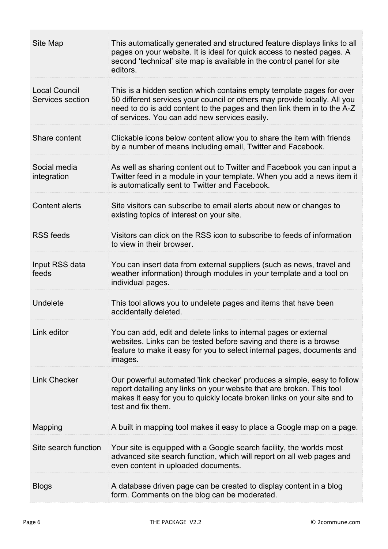| Site Map                                 | This automatically generated and structured feature displays links to all<br>pages on your website. It is ideal for quick access to nested pages. A<br>second 'technical' site map is available in the control panel for site<br>editors.                                      |
|------------------------------------------|--------------------------------------------------------------------------------------------------------------------------------------------------------------------------------------------------------------------------------------------------------------------------------|
| <b>Local Council</b><br>Services section | This is a hidden section which contains empty template pages for over<br>50 different services your council or others may provide locally. All you<br>need to do is add content to the pages and then link them in to the A-Z<br>of services. You can add new services easily. |
| Share content                            | Clickable icons below content allow you to share the item with friends<br>by a number of means including email, Twitter and Facebook.                                                                                                                                          |
| Social media<br>integration              | As well as sharing content out to Twitter and Facebook you can input a<br>Twitter feed in a module in your template. When you add a news item it<br>is automatically sent to Twitter and Facebook.                                                                             |
| <b>Content alerts</b>                    | Site visitors can subscribe to email alerts about new or changes to<br>existing topics of interest on your site.                                                                                                                                                               |
| <b>RSS feeds</b>                         | Visitors can click on the RSS icon to subscribe to feeds of information<br>to view in their browser.                                                                                                                                                                           |
| Input RSS data<br>feeds                  | You can insert data from external suppliers (such as news, travel and<br>weather information) through modules in your template and a tool on<br>individual pages.                                                                                                              |
| Undelete                                 | This tool allows you to undelete pages and items that have been<br>accidentally deleted.                                                                                                                                                                                       |
| Link editor                              | You can add, edit and delete links to internal pages or external<br>websites. Links can be tested before saving and there is a browse<br>feature to make it easy for you to select internal pages, documents and<br>images.                                                    |
| <b>Link Checker</b>                      | Our powerful automated 'link checker' produces a simple, easy to follow<br>report detailing any links on your website that are broken. This tool<br>makes it easy for you to quickly locate broken links on your site and to<br>test and fix them.                             |
| Mapping                                  | A built in mapping tool makes it easy to place a Google map on a page.                                                                                                                                                                                                         |
| Site search function                     | Your site is equipped with a Google search facility, the worlds most<br>advanced site search function, which will report on all web pages and<br>even content in uploaded documents.                                                                                           |
| <b>Blogs</b>                             | A database driven page can be created to display content in a blog<br>form. Comments on the blog can be moderated.                                                                                                                                                             |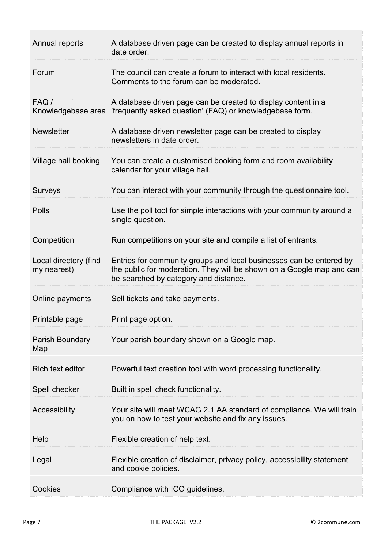| Annual reports                       | A database driven page can be created to display annual reports in<br>date order.                                                                                                     |
|--------------------------------------|---------------------------------------------------------------------------------------------------------------------------------------------------------------------------------------|
| Forum                                | The council can create a forum to interact with local residents.<br>Comments to the forum can be moderated.                                                                           |
| FAQ /<br>Knowledgebase area          | A database driven page can be created to display content in a<br>'frequently asked question' (FAQ) or knowledgebase form.                                                             |
| <b>Newsletter</b>                    | A database driven newsletter page can be created to display<br>newsletters in date order.                                                                                             |
| Village hall booking                 | You can create a customised booking form and room availability<br>calendar for your village hall.                                                                                     |
| <b>Surveys</b>                       | You can interact with your community through the questionnaire tool.                                                                                                                  |
| Polls                                | Use the poll tool for simple interactions with your community around a<br>single question.                                                                                            |
| Competition                          | Run competitions on your site and compile a list of entrants.                                                                                                                         |
| Local directory (find<br>my nearest) | Entries for community groups and local businesses can be entered by<br>the public for moderation. They will be shown on a Google map and can<br>be searched by category and distance. |
| Online payments                      | Sell tickets and take payments.                                                                                                                                                       |
| Printable page                       | Print page option.                                                                                                                                                                    |
| Parish Boundary<br>Map               | Your parish boundary shown on a Google map.                                                                                                                                           |
| Rich text editor                     | Powerful text creation tool with word processing functionality.                                                                                                                       |
| Spell checker                        | Built in spell check functionality.                                                                                                                                                   |
| Accessibility                        | Your site will meet WCAG 2.1 AA standard of compliance. We will train<br>you on how to test your website and fix any issues.                                                          |
| Help                                 | Flexible creation of help text.                                                                                                                                                       |
| Legal                                | Flexible creation of disclaimer, privacy policy, accessibility statement<br>and cookie policies.                                                                                      |
| Cookies                              | Compliance with ICO guidelines.                                                                                                                                                       |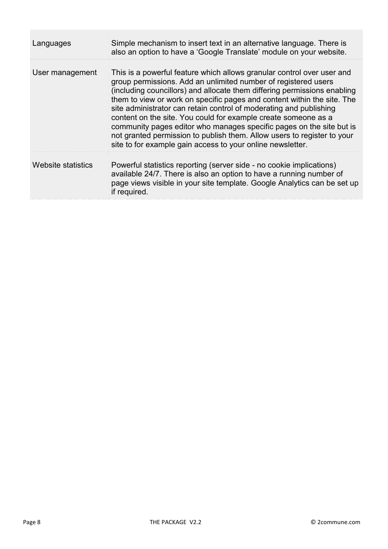| Languages          | Simple mechanism to insert text in an alternative language. There is<br>also an option to have a 'Google Translate' module on your website.                                                                                                                                                                                                                                                                                                                                                                                                                                                                                                              |
|--------------------|----------------------------------------------------------------------------------------------------------------------------------------------------------------------------------------------------------------------------------------------------------------------------------------------------------------------------------------------------------------------------------------------------------------------------------------------------------------------------------------------------------------------------------------------------------------------------------------------------------------------------------------------------------|
| User management    | This is a powerful feature which allows granular control over user and<br>group permissions. Add an unlimited number of registered users<br>(including councillors) and allocate them differing permissions enabling<br>them to view or work on specific pages and content within the site. The<br>site administrator can retain control of moderating and publishing<br>content on the site. You could for example create someone as a<br>community pages editor who manages specific pages on the site but is<br>not granted permission to publish them. Allow users to register to your<br>site to for example gain access to your online newsletter. |
| Website statistics | Powerful statistics reporting (server side - no cookie implications)<br>available 24/7. There is also an option to have a running number of<br>page views visible in your site template. Google Analytics can be set up<br>if required.                                                                                                                                                                                                                                                                                                                                                                                                                  |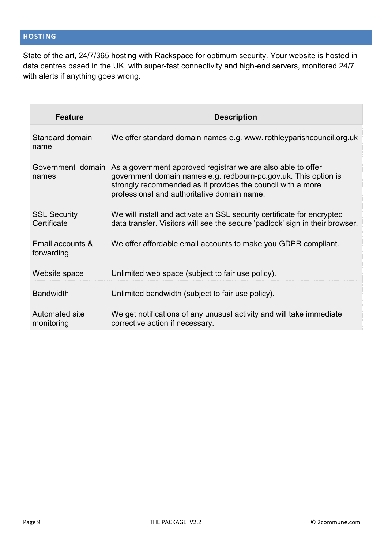State of the art, 24/7/365 hosting with Rackspace for optimum security. Your website is hosted in data centres based in the UK, with super-fast connectivity and high-end servers, monitored 24/7 with alerts if anything goes wrong.

| <b>Feature</b>                     | <b>Description</b>                                                                                                                                                                                                                                              |
|------------------------------------|-----------------------------------------------------------------------------------------------------------------------------------------------------------------------------------------------------------------------------------------------------------------|
| Standard domain<br>name            | We offer standard domain names e.g. www. rothleyparish council.org.uk                                                                                                                                                                                           |
| names                              | Government domain As a government approved registrar we are also able to offer<br>government domain names e.g. redbourn-pc.gov.uk. This option is<br>strongly recommended as it provides the council with a more<br>professional and authoritative domain name. |
| <b>SSL Security</b><br>Certificate | We will install and activate an SSL security certificate for encrypted<br>data transfer. Visitors will see the secure 'padlock' sign in their browser.                                                                                                          |
| Email accounts &<br>forwarding     | We offer affordable email accounts to make you GDPR compliant.                                                                                                                                                                                                  |
| Website space                      | Unlimited web space (subject to fair use policy).                                                                                                                                                                                                               |
| <b>Bandwidth</b>                   | Unlimited bandwidth (subject to fair use policy).                                                                                                                                                                                                               |
| Automated site<br>monitoring       | We get notifications of any unusual activity and will take immediate<br>corrective action if necessary.                                                                                                                                                         |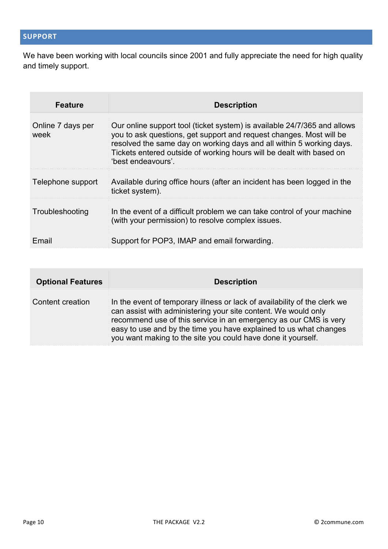We have been working with local councils since 2001 and fully appreciate the need for high quality and timely support.

| <b>Feature</b>            | <b>Description</b>                                                                                                                                                                                                                                                                                                    |
|---------------------------|-----------------------------------------------------------------------------------------------------------------------------------------------------------------------------------------------------------------------------------------------------------------------------------------------------------------------|
| Online 7 days per<br>week | Our online support tool (ticket system) is available 24/7/365 and allows<br>you to ask questions, get support and request changes. Most will be<br>resolved the same day on working days and all within 5 working days.<br>Tickets entered outside of working hours will be dealt with based on<br>'best endeavours'. |
| Telephone support         | Available during office hours (after an incident has been logged in the<br>ticket system).                                                                                                                                                                                                                            |
| Troubleshooting           | In the event of a difficult problem we can take control of your machine<br>(with your permission) to resolve complex issues.                                                                                                                                                                                          |
| Email                     | Support for POP3, IMAP and email forwarding.                                                                                                                                                                                                                                                                          |

| <b>Optional Features</b> | <b>Description</b>                                                                                                                                                                                                                                                                                                                                   |
|--------------------------|------------------------------------------------------------------------------------------------------------------------------------------------------------------------------------------------------------------------------------------------------------------------------------------------------------------------------------------------------|
| Content creation         | In the event of temporary illness or lack of availability of the clerk we<br>can assist with administering your site content. We would only<br>recommend use of this service in an emergency as our CMS is very<br>easy to use and by the time you have explained to us what changes<br>you want making to the site you could have done it yourself. |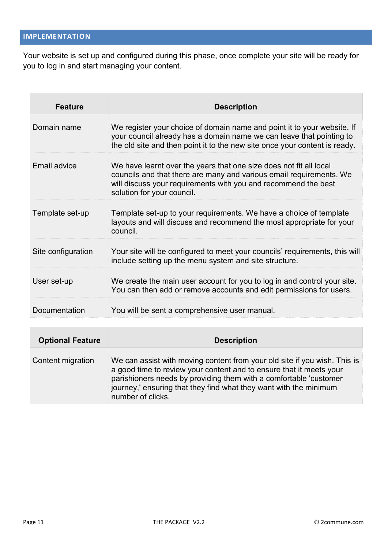Your website is set up and configured during this phase, once complete your site will be ready for you to log in and start managing your content.

| <b>Feature</b>          | <b>Description</b>                                                                                                                                                                                                                                                                                              |
|-------------------------|-----------------------------------------------------------------------------------------------------------------------------------------------------------------------------------------------------------------------------------------------------------------------------------------------------------------|
| Domain name             | We register your choice of domain name and point it to your website. If<br>your council already has a domain name we can leave that pointing to<br>the old site and then point it to the new site once your content is ready.                                                                                   |
| Email advice            | We have learnt over the years that one size does not fit all local<br>councils and that there are many and various email requirements. We<br>will discuss your requirements with you and recommend the best<br>solution for your council.                                                                       |
| Template set-up         | Template set-up to your requirements. We have a choice of template<br>layouts and will discuss and recommend the most appropriate for your<br>council.                                                                                                                                                          |
| Site configuration      | Your site will be configured to meet your councils' requirements, this will<br>include setting up the menu system and site structure.                                                                                                                                                                           |
| User set-up             | We create the main user account for you to log in and control your site.<br>You can then add or remove accounts and edit permissions for users.                                                                                                                                                                 |
| Documentation           | You will be sent a comprehensive user manual.                                                                                                                                                                                                                                                                   |
|                         |                                                                                                                                                                                                                                                                                                                 |
| <b>Optional Feature</b> | <b>Description</b>                                                                                                                                                                                                                                                                                              |
| Content migration       | We can assist with moving content from your old site if you wish. This is<br>a good time to review your content and to ensure that it meets your<br>parishioners needs by providing them with a comfortable 'customer<br>journey,' ensuring that they find what they want with the minimum<br>number of clicks. |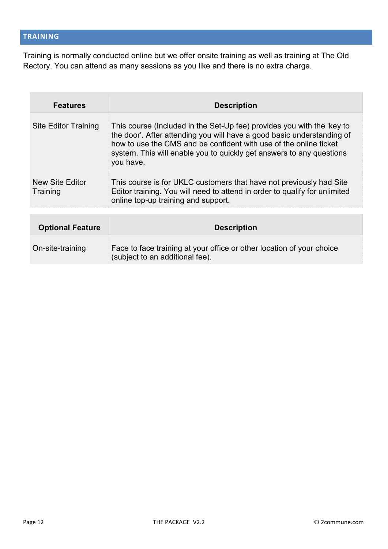Training is normally conducted online but we offer onsite training as well as training at The Old Rectory. You can attend as many sessions as you like and there is no extra charge.

| <b>Features</b>             | <b>Description</b>                                                                                                                                                                                                                                                                                         |
|-----------------------------|------------------------------------------------------------------------------------------------------------------------------------------------------------------------------------------------------------------------------------------------------------------------------------------------------------|
| Site Editor Training        | This course (Included in the Set-Up fee) provides you with the 'key to<br>the door'. After attending you will have a good basic understanding of<br>how to use the CMS and be confident with use of the online ticket<br>system. This will enable you to quickly get answers to any questions<br>you have. |
| New Site Editor<br>Training | This course is for UKLC customers that have not previously had Site<br>Editor training. You will need to attend in order to qualify for unlimited<br>online top-up training and support.                                                                                                                   |
|                             |                                                                                                                                                                                                                                                                                                            |
| <b>Optional Feature</b>     | <b>Description</b>                                                                                                                                                                                                                                                                                         |
| On-site-training            | Face to face training at your office or other location of your choice<br>(subject to an additional fee).                                                                                                                                                                                                   |